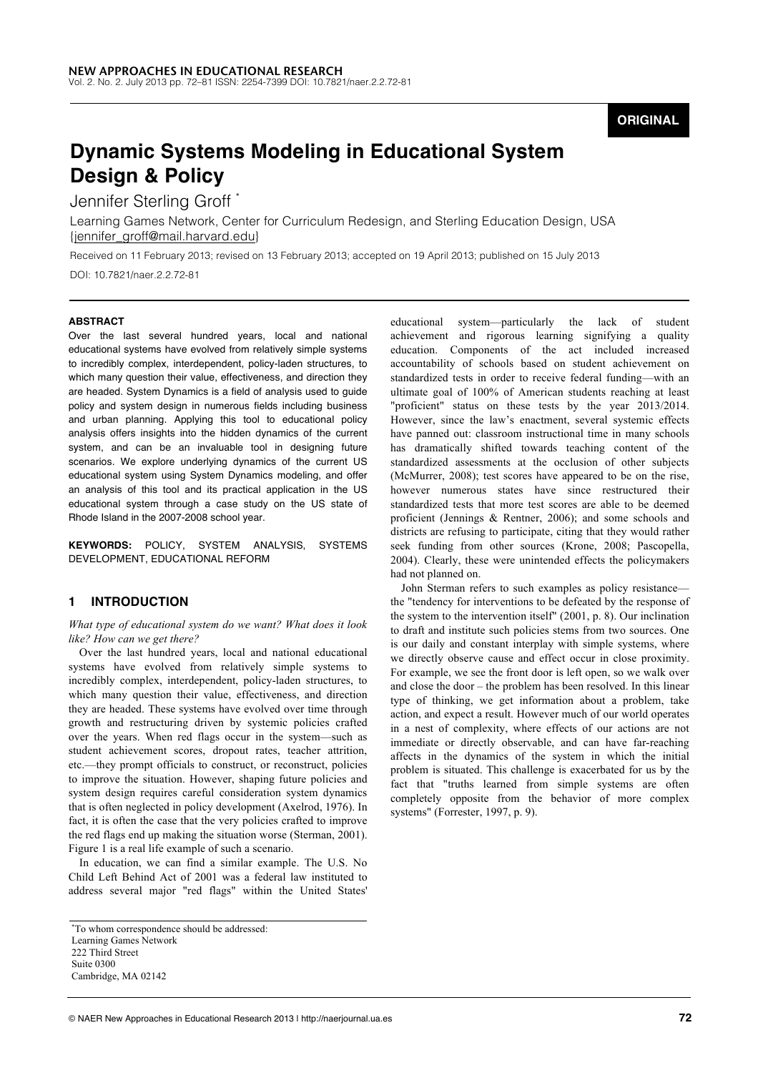## **ORIGINAL**

# **Dynamic Systems Modeling in Educational System Design & Policy**

Jennifer Sterling Groff

Learning Games Network, Center for Curriculum Redesign, and Sterling Education Design, USA {jennifer\_groff@mail.harvard.edu}

Received on 11 February 2013; revised on 13 February 2013; accepted on 19 April 2013; published on 15 July 2013

DOI: 10.7821/naer.2.2.72-81

#### **ABSTRACT**

Over the last several hundred years, local and national educational systems have evolved from relatively simple systems to incredibly complex, interdependent, policy-laden structures, to which many question their value, effectiveness, and direction they are headed. System Dynamics is a field of analysis used to guide policy and system design in numerous fields including business and urban planning. Applying this tool to educational policy analysis offers insights into the hidden dynamics of the current system, and can be an invaluable tool in designing future scenarios. We explore underlying dynamics of the current US educational system using System Dynamics modeling, and offer an analysis of this tool and its practical application in the US educational system through a case study on the US state of Rhode Island in the 2007-2008 school year.

**KEYWORDS:** POLICY, SYSTEM ANALYSIS, SYSTEMS DEVELOPMENT, EDUCATIONAL REFORM

## **1 INTRODUCTION**

*What type of educational system do we want? What does it look like? How can we get there?*

Over the last hundred years, local and national educational systems have evolved from relatively simple systems to incredibly complex, interdependent, policy-laden structures, to which many question their value, effectiveness, and direction they are headed. These systems have evolved over time through growth and restructuring driven by systemic policies crafted over the years. When red flags occur in the system—such as student achievement scores, dropout rates, teacher attrition, etc.—they prompt officials to construct, or reconstruct, policies to improve the situation. However, shaping future policies and system design requires careful consideration system dynamics that is often neglected in policy development (Axelrod, 1976). In fact, it is often the case that the very policies crafted to improve the red flags end up making the situation worse (Sterman, 2001). Figure 1 is a real life example of such a scenario.

In education, we can find a similar example. The U.S. No Child Left Behind Act of 2001 was a federal law instituted to address several major "red flags" within the United States'

educational system—particularly the lack of student achievement and rigorous learning signifying a quality education. Components of the act included increased accountability of schools based on student achievement on standardized tests in order to receive federal funding—with an ultimate goal of 100% of American students reaching at least "proficient" status on these tests by the year 2013/2014. However, since the law's enactment, several systemic effects have panned out: classroom instructional time in many schools has dramatically shifted towards teaching content of the standardized assessments at the occlusion of other subjects (McMurrer, 2008); test scores have appeared to be on the rise, however numerous states have since restructured their standardized tests that more test scores are able to be deemed proficient (Jennings & Rentner, 2006); and some schools and districts are refusing to participate, citing that they would rather seek funding from other sources (Krone, 2008; Pascopella, 2004). Clearly, these were unintended effects the policymakers had not planned on.

John Sterman refers to such examples as policy resistance the "tendency for interventions to be defeated by the response of the system to the intervention itself" (2001, p. 8). Our inclination to draft and institute such policies stems from two sources. One is our daily and constant interplay with simple systems, where we directly observe cause and effect occur in close proximity. For example, we see the front door is left open, so we walk over and close the door – the problem has been resolved. In this linear type of thinking, we get information about a problem, take action, and expect a result. However much of our world operates in a nest of complexity, where effects of our actions are not immediate or directly observable, and can have far-reaching affects in the dynamics of the system in which the initial problem is situated. This challenge is exacerbated for us by the fact that "truths learned from simple systems are often completely opposite from the behavior of more complex systems" (Forrester, 1997, p. 9).

<sup>\*</sup>To whom correspondence should be addressed: Learning Games Network 222 Third Street Suite 0300 Cambridge, MA 02142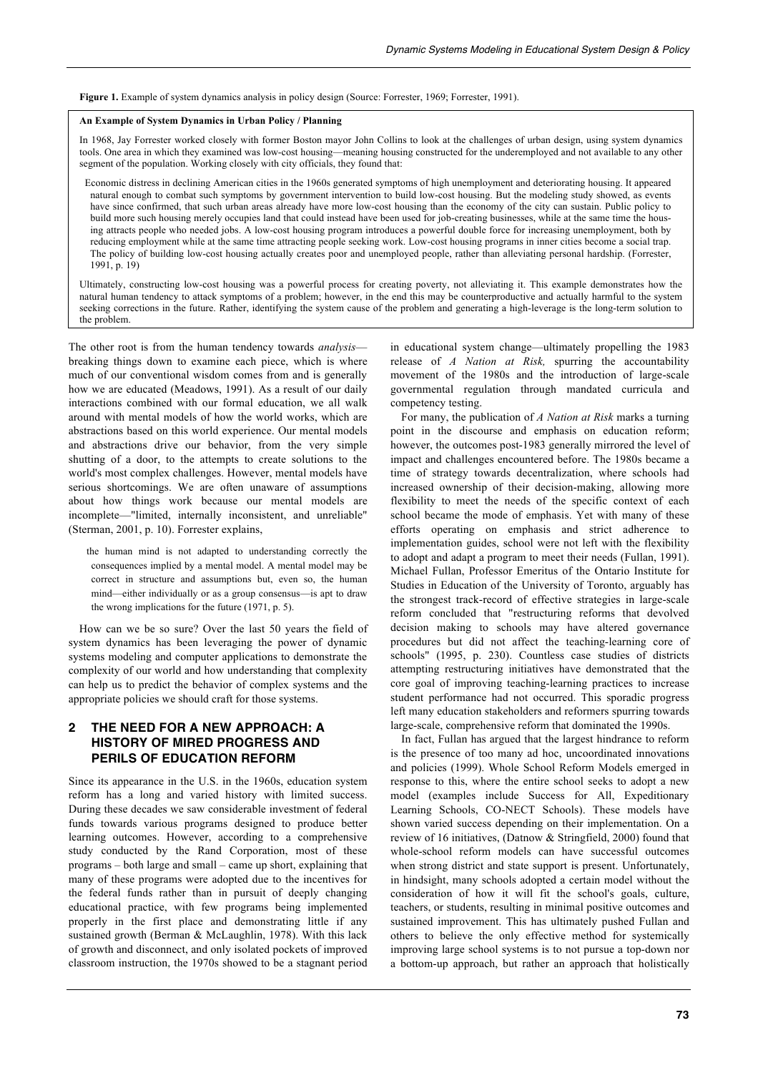**Figure 1.** Example of system dynamics analysis in policy design (Source: Forrester, 1969; Forrester, 1991).

#### **An Example of System Dynamics in Urban Policy / Planning**

In 1968, Jay Forrester worked closely with former Boston mayor John Collins to look at the challenges of urban design, using system dynamics tools. One area in which they examined was low-cost housing—meaning housing constructed for the underemployed and not available to any other segment of the population. Working closely with city officials, they found that:

Economic distress in declining American cities in the 1960s generated symptoms of high unemployment and deteriorating housing. It appeared natural enough to combat such symptoms by government intervention to build low-cost housing. But the modeling study showed, as events have since confirmed, that such urban areas already have more low-cost housing than the economy of the city can sustain. Public policy to build more such housing merely occupies land that could instead have been used for job-creating businesses, while at the same time the housing attracts people who needed jobs. A low-cost housing program introduces a powerful double force for increasing unemployment, both by reducing employment while at the same time attracting people seeking work. Low-cost housing programs in inner cities become a social trap. The policy of building low-cost housing actually creates poor and unemployed people, rather than alleviating personal hardship. (Forrester, 1991, p. 19)

Ultimately, constructing low-cost housing was a powerful process for creating poverty, not alleviating it. This example demonstrates how the natural human tendency to attack symptoms of a problem; however, in the end this may be counterproductive and actually harmful to the system seeking corrections in the future. Rather, identifying the system cause of the problem and generating a high-leverage is the long-term solution to the problem.

The other root is from the human tendency towards *analysis* breaking things down to examine each piece, which is where much of our conventional wisdom comes from and is generally how we are educated (Meadows, 1991). As a result of our daily interactions combined with our formal education, we all walk around with mental models of how the world works, which are abstractions based on this world experience. Our mental models and abstractions drive our behavior, from the very simple shutting of a door, to the attempts to create solutions to the world's most complex challenges. However, mental models have serious shortcomings. We are often unaware of assumptions about how things work because our mental models are incomplete—"limited, internally inconsistent, and unreliable" (Sterman, 2001, p. 10). Forrester explains,

the human mind is not adapted to understanding correctly the consequences implied by a mental model. A mental model may be correct in structure and assumptions but, even so, the human mind—either individually or as a group consensus—is apt to draw the wrong implications for the future (1971, p. 5).

How can we be so sure? Over the last 50 years the field of system dynamics has been leveraging the power of dynamic systems modeling and computer applications to demonstrate the complexity of our world and how understanding that complexity can help us to predict the behavior of complex systems and the appropriate policies we should craft for those systems.

## **2 THE NEED FOR A NEW APPROACH: A HISTORY OF MIRED PROGRESS AND PERILS OF EDUCATION REFORM**

Since its appearance in the U.S. in the 1960s, education system reform has a long and varied history with limited success. During these decades we saw considerable investment of federal funds towards various programs designed to produce better learning outcomes. However, according to a comprehensive study conducted by the Rand Corporation, most of these programs – both large and small – came up short, explaining that many of these programs were adopted due to the incentives for the federal funds rather than in pursuit of deeply changing educational practice, with few programs being implemented properly in the first place and demonstrating little if any sustained growth (Berman & McLaughlin, 1978). With this lack of growth and disconnect, and only isolated pockets of improved classroom instruction, the 1970s showed to be a stagnant period in educational system change—ultimately propelling the 1983 release of *A Nation at Risk,* spurring the accountability movement of the 1980s and the introduction of large-scale governmental regulation through mandated curricula and competency testing.

For many, the publication of *A Nation at Risk* marks a turning point in the discourse and emphasis on education reform; however, the outcomes post-1983 generally mirrored the level of impact and challenges encountered before. The 1980s became a time of strategy towards decentralization, where schools had increased ownership of their decision-making, allowing more flexibility to meet the needs of the specific context of each school became the mode of emphasis. Yet with many of these efforts operating on emphasis and strict adherence to implementation guides, school were not left with the flexibility to adopt and adapt a program to meet their needs (Fullan, 1991). Michael Fullan, Professor Emeritus of the Ontario Institute for Studies in Education of the University of Toronto, arguably has the strongest track-record of effective strategies in large-scale reform concluded that "restructuring reforms that devolved decision making to schools may have altered governance procedures but did not affect the teaching-learning core of schools" (1995, p. 230). Countless case studies of districts attempting restructuring initiatives have demonstrated that the core goal of improving teaching-learning practices to increase student performance had not occurred. This sporadic progress left many education stakeholders and reformers spurring towards large-scale, comprehensive reform that dominated the 1990s.

In fact, Fullan has argued that the largest hindrance to reform is the presence of too many ad hoc, uncoordinated innovations and policies (1999). Whole School Reform Models emerged in response to this, where the entire school seeks to adopt a new model (examples include Success for All, Expeditionary Learning Schools, CO-NECT Schools). These models have shown varied success depending on their implementation. On a review of 16 initiatives, (Datnow & Stringfield, 2000) found that whole-school reform models can have successful outcomes when strong district and state support is present. Unfortunately, in hindsight, many schools adopted a certain model without the consideration of how it will fit the school's goals, culture, teachers, or students, resulting in minimal positive outcomes and sustained improvement. This has ultimately pushed Fullan and others to believe the only effective method for systemically improving large school systems is to not pursue a top-down nor a bottom-up approach, but rather an approach that holistically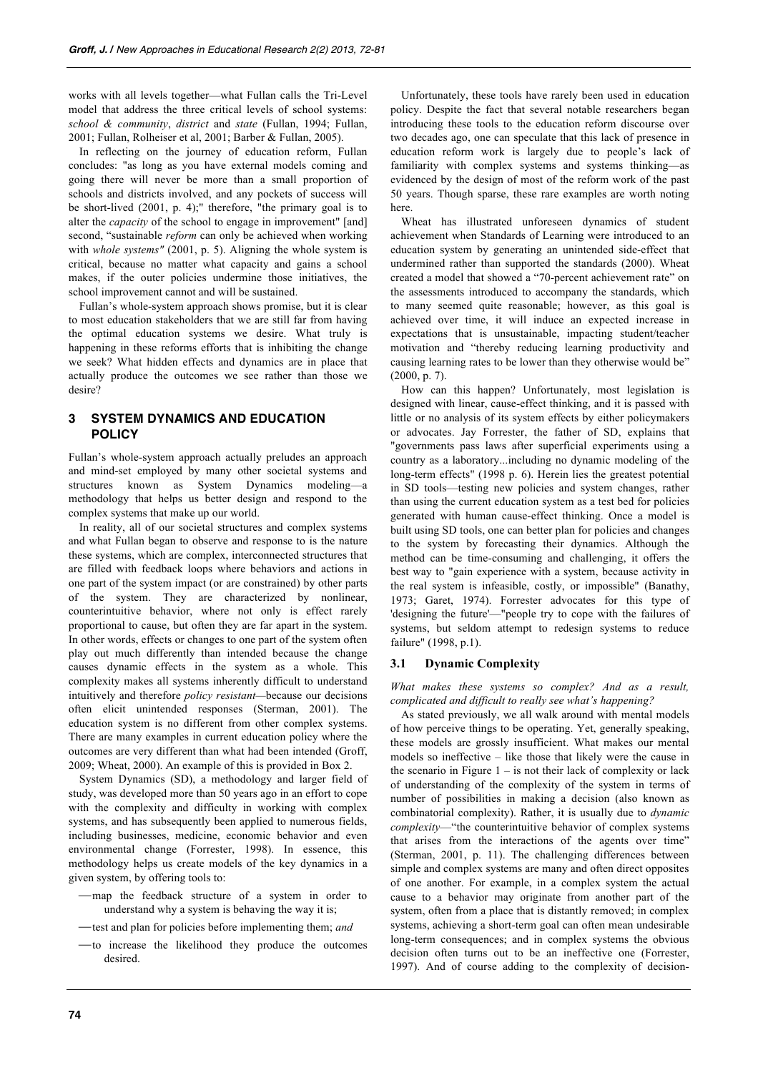works with all levels together—what Fullan calls the Tri-Level model that address the three critical levels of school systems: *school & community*, *district* and *state* (Fullan, 1994; Fullan, 2001; Fullan, Rolheiser et al, 2001; Barber & Fullan, 2005).

In reflecting on the journey of education reform, Fullan concludes: "as long as you have external models coming and going there will never be more than a small proportion of schools and districts involved, and any pockets of success will be short-lived (2001, p. 4);" therefore, "the primary goal is to alter the *capacity* of the school to engage in improvement" [and] second, "sustainable *reform* can only be achieved when working with *whole systems"* (2001, p. 5). Aligning the whole system is critical, because no matter what capacity and gains a school makes, if the outer policies undermine those initiatives, the school improvement cannot and will be sustained.

Fullan's whole-system approach shows promise, but it is clear to most education stakeholders that we are still far from having the optimal education systems we desire. What truly is happening in these reforms efforts that is inhibiting the change we seek? What hidden effects and dynamics are in place that actually produce the outcomes we see rather than those we desire?

## **3 SYSTEM DYNAMICS AND EDUCATION POLICY**

Fullan's whole-system approach actually preludes an approach and mind-set employed by many other societal systems and structures known as System Dynamics modeling—a methodology that helps us better design and respond to the complex systems that make up our world.

In reality, all of our societal structures and complex systems and what Fullan began to observe and response to is the nature these systems, which are complex, interconnected structures that are filled with feedback loops where behaviors and actions in one part of the system impact (or are constrained) by other parts of the system. They are characterized by nonlinear, counterintuitive behavior, where not only is effect rarely proportional to cause, but often they are far apart in the system. In other words, effects or changes to one part of the system often play out much differently than intended because the change causes dynamic effects in the system as a whole. This complexity makes all systems inherently difficult to understand intuitively and therefore *policy resistant—*because our decisions often elicit unintended responses (Sterman, 2001). The education system is no different from other complex systems. There are many examples in current education policy where the outcomes are very different than what had been intended (Groff, 2009; Wheat, 2000). An example of this is provided in Box 2.

System Dynamics (SD), a methodology and larger field of study, was developed more than 50 years ago in an effort to cope with the complexity and difficulty in working with complex systems, and has subsequently been applied to numerous fields, including businesses, medicine, economic behavior and even environmental change (Forrester, 1998). In essence, this methodology helps us create models of the key dynamics in a given system, by offering tools to:

- -map the feedback structure of a system in order to understand why a system is behaving the way it is;
- -test and plan for policies before implementing them; *and*
- to increase the likelihood they produce the outcomes desired.

Unfortunately, these tools have rarely been used in education policy. Despite the fact that several notable researchers began introducing these tools to the education reform discourse over two decades ago, one can speculate that this lack of presence in education reform work is largely due to people's lack of familiarity with complex systems and systems thinking—as evidenced by the design of most of the reform work of the past 50 years. Though sparse, these rare examples are worth noting here.

Wheat has illustrated unforeseen dynamics of student achievement when Standards of Learning were introduced to an education system by generating an unintended side-effect that undermined rather than supported the standards (2000). Wheat created a model that showed a "70-percent achievement rate" on the assessments introduced to accompany the standards, which to many seemed quite reasonable; however, as this goal is achieved over time, it will induce an expected increase in expectations that is unsustainable, impacting student/teacher motivation and "thereby reducing learning productivity and causing learning rates to be lower than they otherwise would be" (2000, p. 7).

How can this happen? Unfortunately, most legislation is designed with linear, cause-effect thinking, and it is passed with little or no analysis of its system effects by either policymakers or advocates. Jay Forrester, the father of SD, explains that "governments pass laws after superficial experiments using a country as a laboratory...including no dynamic modeling of the long-term effects" (1998 p. 6). Herein lies the greatest potential in SD tools—testing new policies and system changes, rather than using the current education system as a test bed for policies generated with human cause-effect thinking. Once a model is built using SD tools, one can better plan for policies and changes to the system by forecasting their dynamics. Although the method can be time-consuming and challenging, it offers the best way to "gain experience with a system, because activity in the real system is infeasible, costly, or impossible" (Banathy, 1973; Garet, 1974). Forrester advocates for this type of 'designing the future'—"people try to cope with the failures of systems, but seldom attempt to redesign systems to reduce failure" (1998, p.1).

## **3.1 Dynamic Complexity**

*What makes these systems so complex? And as a result, complicated and difficult to really see what's happening?*

As stated previously, we all walk around with mental models of how perceive things to be operating. Yet, generally speaking, these models are grossly insufficient. What makes our mental models so ineffective – like those that likely were the cause in the scenario in Figure  $1 -$  is not their lack of complexity or lack of understanding of the complexity of the system in terms of number of possibilities in making a decision (also known as combinatorial complexity). Rather, it is usually due to *dynamic complexity*—"the counterintuitive behavior of complex systems that arises from the interactions of the agents over time" (Sterman, 2001, p. 11). The challenging differences between simple and complex systems are many and often direct opposites of one another. For example, in a complex system the actual cause to a behavior may originate from another part of the system, often from a place that is distantly removed; in complex systems, achieving a short-term goal can often mean undesirable long-term consequences; and in complex systems the obvious decision often turns out to be an ineffective one (Forrester, 1997). And of course adding to the complexity of decision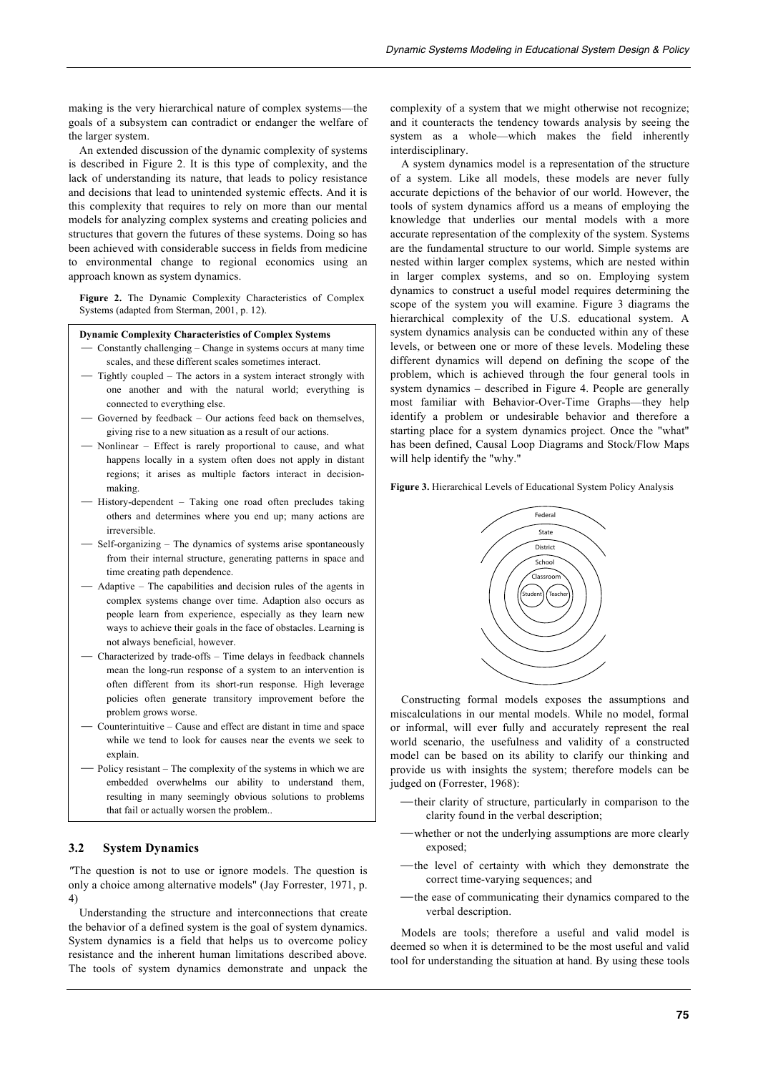making is the very hierarchical nature of complex systems—the goals of a subsystem can contradict or endanger the welfare of the larger system.

An extended discussion of the dynamic complexity of systems is described in Figure 2. It is this type of complexity, and the lack of understanding its nature, that leads to policy resistance and decisions that lead to unintended systemic effects. And it is this complexity that requires to rely on more than our mental models for analyzing complex systems and creating policies and structures that govern the futures of these systems. Doing so has been achieved with considerable success in fields from medicine to environmental change to regional economics using an approach known as system dynamics.

**Figure 2.** The Dynamic Complexity Characteristics of Complex Systems (adapted from Sterman, 2001, p. 12).

### **Dynamic Complexity Characteristics of Complex Systems**

- ⎯ Constantly challenging Change in systems occurs at many time scales, and these different scales sometimes interact.
- ⎯ Tightly coupled The actors in a system interact strongly with one another and with the natural world; everything is connected to everything else.
- ⎯ Governed by feedback Our actions feed back on themselves, giving rise to a new situation as a result of our actions.
- Nonlinear Effect is rarely proportional to cause, and what happens locally in a system often does not apply in distant regions; it arises as multiple factors interact in decisionmaking.
- History-dependent Taking one road often precludes taking others and determines where you end up; many actions are irreversible.
- Self-organizing The dynamics of systems arise spontaneously from their internal structure, generating patterns in space and time creating path dependence.
- ⎯ Adaptive The capabilities and decision rules of the agents in complex systems change over time. Adaption also occurs as people learn from experience, especially as they learn new ways to achieve their goals in the face of obstacles. Learning is not always beneficial, however.
- Characterized by trade-offs Time delays in feedback channels mean the long-run response of a system to an intervention is often different from its short-run response. High leverage policies often generate transitory improvement before the problem grows worse.
- Counterintuitive Cause and effect are distant in time and space while we tend to look for causes near the events we seek to explain.
- Policy resistant The complexity of the systems in which we are embedded overwhelms our ability to understand them, resulting in many seemingly obvious solutions to problems that fail or actually worsen the problem..

## **3.2 System Dynamics**

*"*The question is not to use or ignore models. The question is only a choice among alternative models" (Jay Forrester, 1971, p. 4)

Understanding the structure and interconnections that create the behavior of a defined system is the goal of system dynamics. System dynamics is a field that helps us to overcome policy resistance and the inherent human limitations described above. The tools of system dynamics demonstrate and unpack the

complexity of a system that we might otherwise not recognize; and it counteracts the tendency towards analysis by seeing the system as a whole—which makes the field inherently interdisciplinary.

A system dynamics model is a representation of the structure of a system. Like all models, these models are never fully accurate depictions of the behavior of our world. However, the tools of system dynamics afford us a means of employing the knowledge that underlies our mental models with a more accurate representation of the complexity of the system. Systems are the fundamental structure to our world. Simple systems are nested within larger complex systems, which are nested within in larger complex systems, and so on. Employing system dynamics to construct a useful model requires determining the scope of the system you will examine. Figure 3 diagrams the hierarchical complexity of the U.S. educational system. A system dynamics analysis can be conducted within any of these levels, or between one or more of these levels. Modeling these different dynamics will depend on defining the scope of the problem, which is achieved through the four general tools in system dynamics – described in Figure 4. People are generally most familiar with Behavior-Over-Time Graphs—they help identify a problem or undesirable behavior and therefore a starting place for a system dynamics project. Once the "what" has been defined, Causal Loop Diagrams and Stock/Flow Maps will help identify the "why."

**Figure 3.** Hierarchical Levels of Educational System Policy Analysis



Constructing formal models exposes the assumptions and miscalculations in our mental models. While no model, formal or informal, will ever fully and accurately represent the real world scenario, the usefulness and validity of a constructed model can be based on its ability to clarify our thinking and provide us with insights the system; therefore models can be judged on (Forrester, 1968):

- -their clarity of structure, particularly in comparison to the clarity found in the verbal description;
- —whether or not the underlying assumptions are more clearly exposed;
- -the level of certainty with which they demonstrate the correct time-varying sequences; and
- —the ease of communicating their dynamics compared to the verbal description.

Models are tools; therefore a useful and valid model is deemed so when it is determined to be the most useful and valid tool for understanding the situation at hand. By using these tools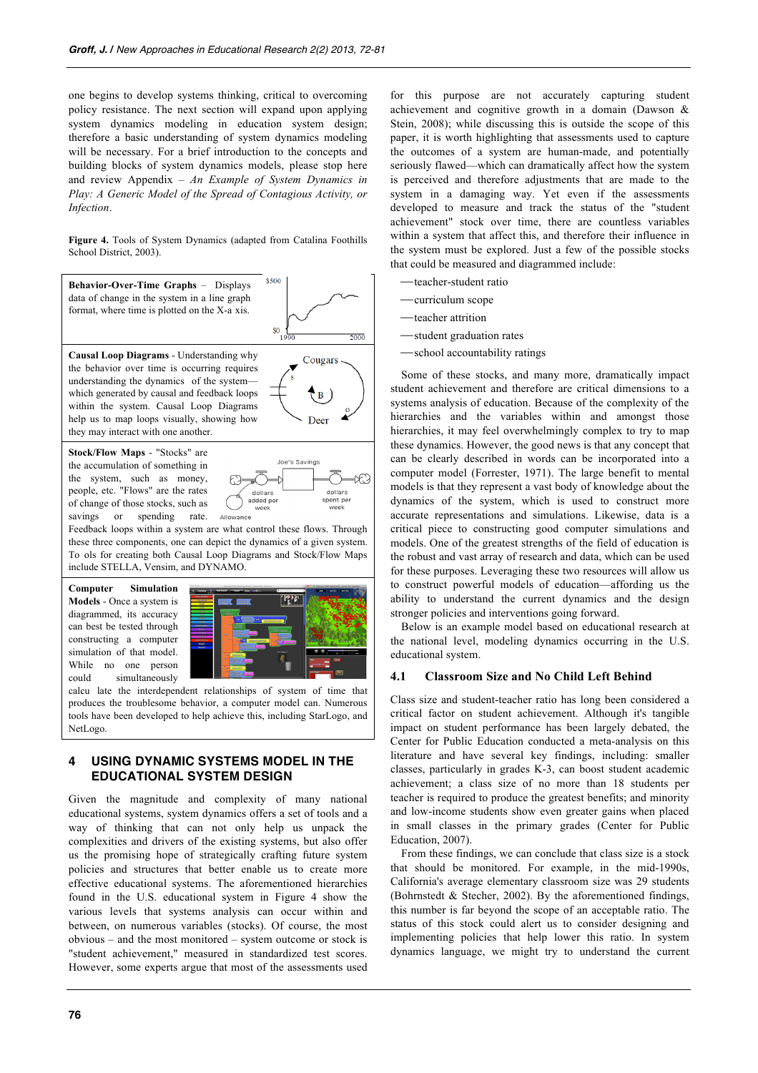one begins to develop systems thinking, critical to overcoming policy resistance. The next section will expand upon applying system dynamics modeling in education system design; therefore a basic understanding of system dynamics modeling will be necessary. For a brief introduction to the concepts and building blocks of system dynamics models, please stop here and review Appendix – *An Example of System Dynamics in Play: A Generic Model of the Spread of Contagious Activity, or Infection*.

**Figure 4.** Tools of System Dynamics (adapted from Catalina Foothills School District, 2003).



the system, such as money, people, etc. "Flows" are the rates of change of those stocks, such as savings or spending rate.



Feedback loops within a system are what control these flows. Through these three components, one can depict the dynamics of a given system. To ols for creating both Causal Loop Diagrams and Stock/Flow Maps include STELLA, Vensim, and DYNAMO.

**Computer Simulation Models** - Once a system is diagrammed, its accuracy can best be tested through constructing a computer simulation of that model. While no one person could simultaneously



calcu late the interdependent relationships of system of time that produces the troublesome behavior, a computer model can. Numerous tools have been developed to help achieve this, including StarLogo, and NetLogo.

## **4 USING DYNAMIC SYSTEMS MODEL IN THE EDUCATIONAL SYSTEM DESIGN**

Given the magnitude and complexity of many national educational systems, system dynamics offers a set of tools and a way of thinking that can not only help us unpack the complexities and drivers of the existing systems, but also offer us the promising hope of strategically crafting future system policies and structures that better enable us to create more effective educational systems. The aforementioned hierarchies found in the U.S. educational system in Figure 4 show the various levels that systems analysis can occur within and between, on numerous variables (stocks). Of course, the most obvious – and the most monitored – system outcome or stock is "student achievement," measured in standardized test scores. However, some experts argue that most of the assessments used

for this purpose are not accurately capturing student achievement and cognitive growth in a domain (Dawson & Stein, 2008); while discussing this is outside the scope of this paper, it is worth highlighting that assessments used to capture the outcomes of a system are human-made, and potentially seriously flawed—which can dramatically affect how the system is perceived and therefore adjustments that are made to the system in a damaging way. Yet even if the assessments developed to measure and track the status of the "student achievement" stock over time, there are countless variables within a system that affect this, and therefore their influence in the system must be explored. Just a few of the possible stocks that could be measured and diagrammed include:

- ⎯teacher-student ratio
- ⎯curriculum scope
- -teacher attrition
- ⎯student graduation rates
- -school accountability ratings

Some of these stocks, and many more, dramatically impact student achievement and therefore are critical dimensions to a systems analysis of education. Because of the complexity of the hierarchies and the variables within and amongst those hierarchies, it may feel overwhelmingly complex to try to map these dynamics. However, the good news is that any concept that can be clearly described in words can be incorporated into a computer model (Forrester, 1971). The large benefit to mental models is that they represent a vast body of knowledge about the dynamics of the system, which is used to construct more accurate representations and simulations. Likewise, data is a critical piece to constructing good computer simulations and models. One of the greatest strengths of the field of education is the robust and vast array of research and data, which can be used for these purposes. Leveraging these two resources will allow us to construct powerful models of education—affording us the ability to understand the current dynamics and the design stronger policies and interventions going forward.

Below is an example model based on educational research at the national level, modeling dynamics occurring in the U.S. educational system.

## **4.1 Classroom Size and No Child Left Behind**

Class size and student-teacher ratio has long been considered a critical factor on student achievement. Although it's tangible impact on student performance has been largely debated, the Center for Public Education conducted a meta-analysis on this literature and have several key findings, including: smaller classes, particularly in grades K-3, can boost student academic achievement; a class size of no more than 18 students per teacher is required to produce the greatest benefits; and minority and low-income students show even greater gains when placed in small classes in the primary grades (Center for Public Education, 2007).

From these findings, we can conclude that class size is a stock that should be monitored. For example, in the mid-1990s, California's average elementary classroom size was 29 students (Bohrnstedt & Stecher, 2002). By the aforementioned findings, this number is far beyond the scope of an acceptable ratio. The status of this stock could alert us to consider designing and implementing policies that help lower this ratio. In system dynamics language, we might try to understand the current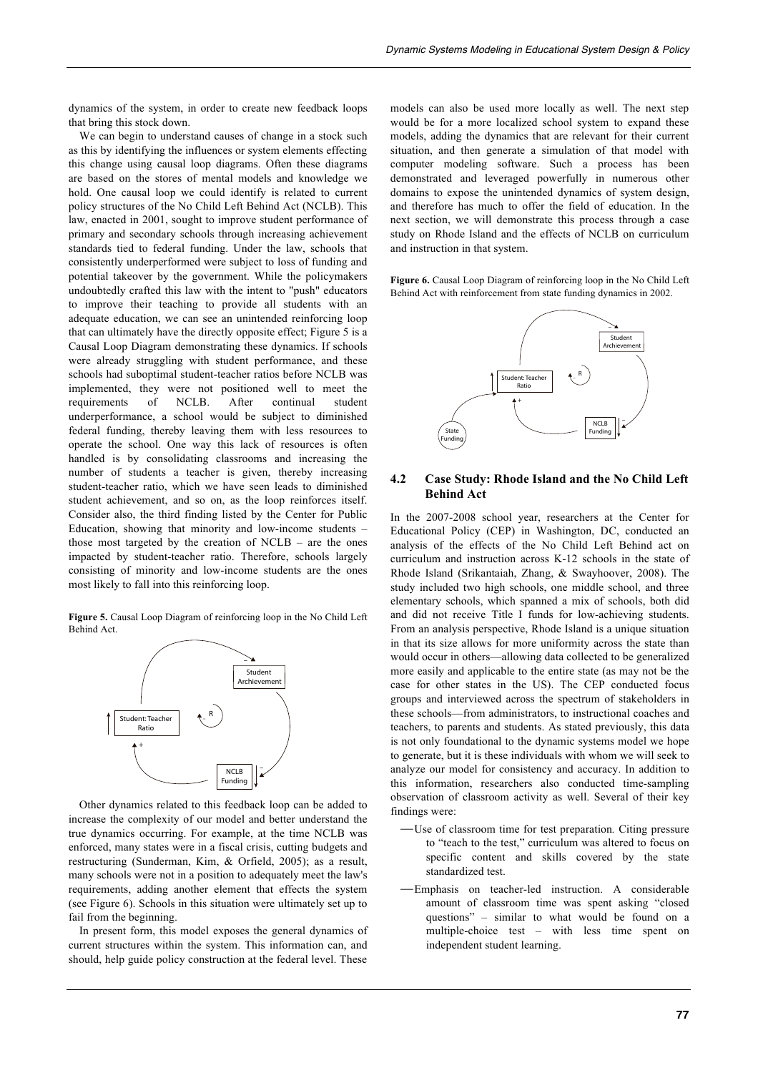dynamics of the system, in order to create new feedback loops that bring this stock down.

We can begin to understand causes of change in a stock such as this by identifying the influences or system elements effecting this change using causal loop diagrams. Often these diagrams are based on the stores of mental models and knowledge we hold. One causal loop we could identify is related to current policy structures of the No Child Left Behind Act (NCLB). This law, enacted in 2001, sought to improve student performance of primary and secondary schools through increasing achievement standards tied to federal funding. Under the law, schools that consistently underperformed were subject to loss of funding and potential takeover by the government. While the policymakers undoubtedly crafted this law with the intent to "push" educators to improve their teaching to provide all students with an adequate education, we can see an unintended reinforcing loop that can ultimately have the directly opposite effect; Figure 5 is a Causal Loop Diagram demonstrating these dynamics. If schools were already struggling with student performance, and these schools had suboptimal student-teacher ratios before NCLB was implemented, they were not positioned well to meet the requirements of NCLB. After continual student underperformance, a school would be subject to diminished federal funding, thereby leaving them with less resources to operate the school. One way this lack of resources is often handled is by consolidating classrooms and increasing the number of students a teacher is given, thereby increasing student-teacher ratio, which we have seen leads to diminished student achievement, and so on, as the loop reinforces itself. Consider also, the third finding listed by the Center for Public Education, showing that minority and low-income students – those most targeted by the creation of NCLB – are the ones impacted by student-teacher ratio. Therefore, schools largely consisting of minority and low-income students are the ones most likely to fall into this reinforcing loop.

**Figure 5.** Causal Loop Diagram of reinforcing loop in the No Child Left Behind Act.



Other dynamics related to this feedback loop can be added to increase the complexity of our model and better understand the true dynamics occurring. For example, at the time NCLB was enforced, many states were in a fiscal crisis, cutting budgets and restructuring (Sunderman, Kim, & Orfield, 2005); as a result, many schools were not in a position to adequately meet the law's requirements, adding another element that effects the system (see Figure 6). Schools in this situation were ultimately set up to fail from the beginning.

In present form, this model exposes the general dynamics of current structures within the system. This information can, and should, help guide policy construction at the federal level. These

models can also be used more locally as well. The next step would be for a more localized school system to expand these models, adding the dynamics that are relevant for their current situation, and then generate a simulation of that model with computer modeling software. Such a process has been demonstrated and leveraged powerfully in numerous other domains to expose the unintended dynamics of system design, and therefore has much to offer the field of education. In the next section, we will demonstrate this process through a case study on Rhode Island and the effects of NCLB on curriculum and instruction in that system.

**Figure 6.** Causal Loop Diagram of reinforcing loop in the No Child Left Behind Act with reinforcement from state funding dynamics in 2002.



## **4.2 Case Study: Rhode Island and the No Child Left Behind Act**

In the 2007-2008 school year, researchers at the Center for Educational Policy (CEP) in Washington, DC, conducted an analysis of the effects of the No Child Left Behind act on curriculum and instruction across K-12 schools in the state of Rhode Island (Srikantaiah, Zhang, & Swayhoover, 2008). The study included two high schools, one middle school, and three elementary schools, which spanned a mix of schools, both did and did not receive Title I funds for low-achieving students. From an analysis perspective, Rhode Island is a unique situation in that its size allows for more uniformity across the state than would occur in others—allowing data collected to be generalized more easily and applicable to the entire state (as may not be the case for other states in the US). The CEP conducted focus groups and interviewed across the spectrum of stakeholders in these schools—from administrators, to instructional coaches and teachers, to parents and students. As stated previously, this data is not only foundational to the dynamic systems model we hope to generate, but it is these individuals with whom we will seek to analyze our model for consistency and accuracy. In addition to this information, researchers also conducted time-sampling observation of classroom activity as well. Several of their key findings were:

- ⎯Use of classroom time for test preparation*.* Citing pressure to "teach to the test," curriculum was altered to focus on specific content and skills covered by the state standardized test.
- -Emphasis on teacher-led instruction. A considerable amount of classroom time was spent asking "closed questions" – similar to what would be found on a multiple-choice test – with less time spent on independent student learning.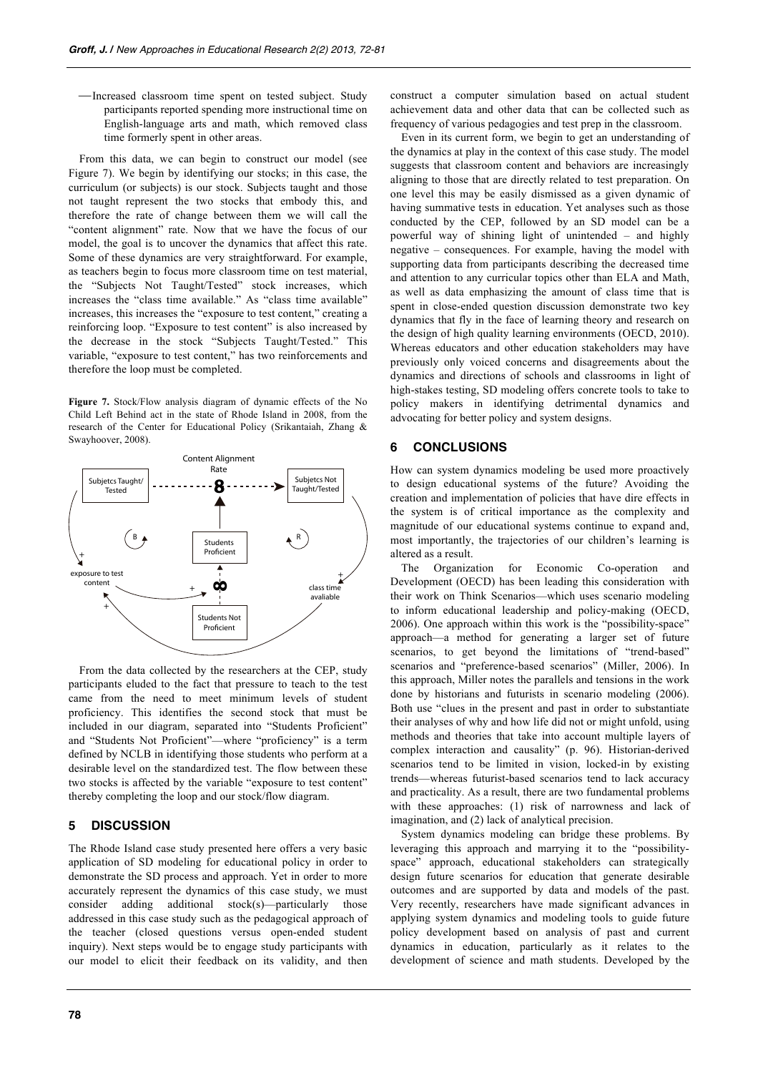-Increased classroom time spent on tested subject. Study participants reported spending more instructional time on English-language arts and math, which removed class time formerly spent in other areas.

From this data, we can begin to construct our model (see Figure 7). We begin by identifying our stocks; in this case, the curriculum (or subjects) is our stock. Subjects taught and those not taught represent the two stocks that embody this, and therefore the rate of change between them we will call the "content alignment" rate. Now that we have the focus of our model, the goal is to uncover the dynamics that affect this rate. Some of these dynamics are very straightforward. For example, as teachers begin to focus more classroom time on test material, the "Subjects Not Taught/Tested" stock increases, which increases the "class time available." As "class time available" increases, this increases the "exposure to test content," creating a reinforcing loop. "Exposure to test content" is also increased by the decrease in the stock "Subjects Taught/Tested." This variable, "exposure to test content," has two reinforcements and therefore the loop must be completed.

**Figure 7.** Stock/Flow analysis diagram of dynamic effects of the No Child Left Behind act in the state of Rhode Island in 2008, from the research of the Center for Educational Policy (Srikantaiah, Zhang & Swayhoover, 2008).



From the data collected by the researchers at the CEP, study participants eluded to the fact that pressure to teach to the test came from the need to meet minimum levels of student proficiency. This identifies the second stock that must be included in our diagram, separated into "Students Proficient" and "Students Not Proficient"—where "proficiency" is a term defined by NCLB in identifying those students who perform at a desirable level on the standardized test. The flow between these two stocks is affected by the variable "exposure to test content" thereby completing the loop and our stock/flow diagram.

## **5 DISCUSSION**

The Rhode Island case study presented here offers a very basic application of SD modeling for educational policy in order to demonstrate the SD process and approach. Yet in order to more accurately represent the dynamics of this case study, we must consider adding additional stock(s)—particularly those addressed in this case study such as the pedagogical approach of the teacher (closed questions versus open-ended student inquiry). Next steps would be to engage study participants with our model to elicit their feedback on its validity, and then construct a computer simulation based on actual student achievement data and other data that can be collected such as frequency of various pedagogies and test prep in the classroom.

Even in its current form, we begin to get an understanding of the dynamics at play in the context of this case study. The model suggests that classroom content and behaviors are increasingly aligning to those that are directly related to test preparation. On one level this may be easily dismissed as a given dynamic of having summative tests in education. Yet analyses such as those conducted by the CEP, followed by an SD model can be a powerful way of shining light of unintended – and highly negative – consequences. For example, having the model with supporting data from participants describing the decreased time and attention to any curricular topics other than ELA and Math, as well as data emphasizing the amount of class time that is spent in close-ended question discussion demonstrate two key dynamics that fly in the face of learning theory and research on the design of high quality learning environments (OECD, 2010). Whereas educators and other education stakeholders may have previously only voiced concerns and disagreements about the dynamics and directions of schools and classrooms in light of high-stakes testing, SD modeling offers concrete tools to take to policy makers in identifying detrimental dynamics and advocating for better policy and system designs.

## **6 CONCLUSIONS**

How can system dynamics modeling be used more proactively to design educational systems of the future? Avoiding the creation and implementation of policies that have dire effects in the system is of critical importance as the complexity and magnitude of our educational systems continue to expand and, most importantly, the trajectories of our children's learning is altered as a result.

The Organization for Economic Co-operation and Development (OECD) has been leading this consideration with their work on Think Scenarios—which uses scenario modeling to inform educational leadership and policy-making (OECD, 2006). One approach within this work is the "possibility-space" approach—a method for generating a larger set of future scenarios, to get beyond the limitations of "trend-based" scenarios and "preference-based scenarios" (Miller, 2006). In this approach, Miller notes the parallels and tensions in the work done by historians and futurists in scenario modeling (2006). Both use "clues in the present and past in order to substantiate their analyses of why and how life did not or might unfold, using methods and theories that take into account multiple layers of complex interaction and causality" (p. 96). Historian-derived scenarios tend to be limited in vision, locked-in by existing trends—whereas futurist-based scenarios tend to lack accuracy and practicality. As a result, there are two fundamental problems with these approaches: (1) risk of narrowness and lack of imagination, and (2) lack of analytical precision.

System dynamics modeling can bridge these problems. By leveraging this approach and marrying it to the "possibilityspace" approach, educational stakeholders can strategically design future scenarios for education that generate desirable outcomes and are supported by data and models of the past. Very recently, researchers have made significant advances in applying system dynamics and modeling tools to guide future policy development based on analysis of past and current dynamics in education, particularly as it relates to the development of science and math students. Developed by the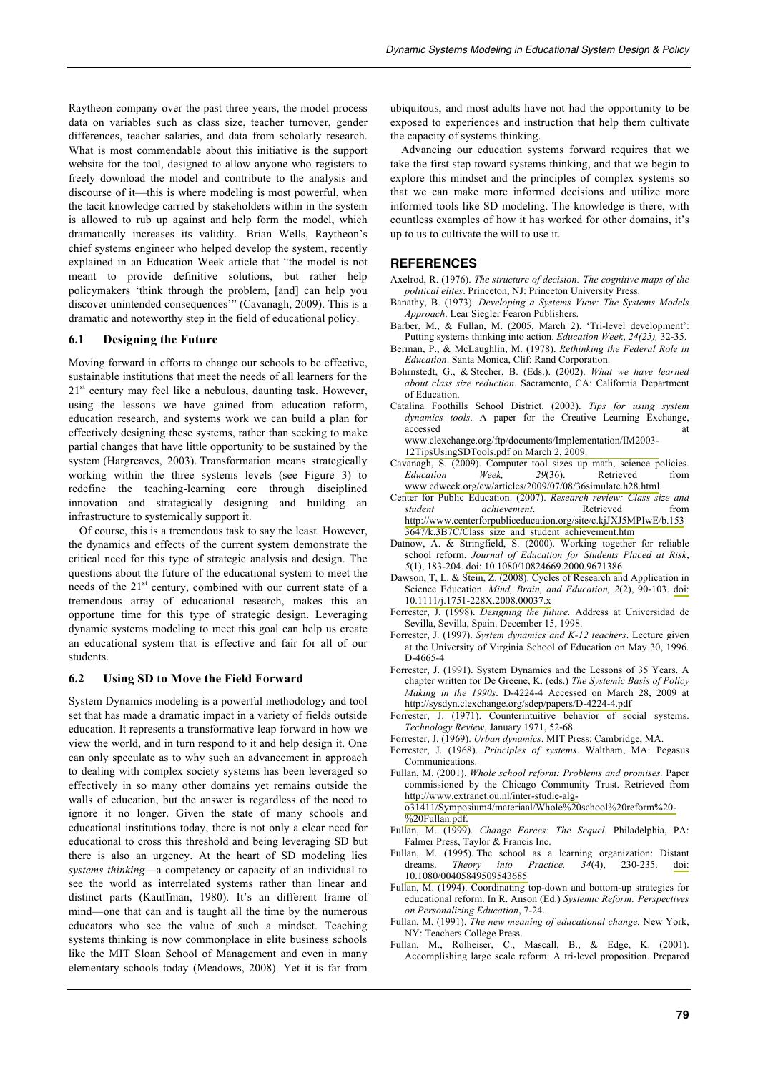Raytheon company over the past three years, the model process data on variables such as class size, teacher turnover, gender differences, teacher salaries, and data from scholarly research. What is most commendable about this initiative is the support website for the tool, designed to allow anyone who registers to freely download the model and contribute to the analysis and discourse of it—this is where modeling is most powerful, when the tacit knowledge carried by stakeholders within in the system is allowed to rub up against and help form the model, which dramatically increases its validity. Brian Wells, Raytheon's chief systems engineer who helped develop the system, recently explained in an Education Week article that "the model is not meant to provide definitive solutions, but rather help policymakers 'think through the problem, [and] can help you discover unintended consequences'" (Cavanagh, 2009). This is a dramatic and noteworthy step in the field of educational policy.

#### **6.1 Designing the Future**

Moving forward in efforts to change our schools to be effective, sustainable institutions that meet the needs of all learners for the  $21<sup>st</sup>$  century may feel like a nebulous, daunting task. However, using the lessons we have gained from education reform, education research, and systems work we can build a plan for effectively designing these systems, rather than seeking to make partial changes that have little opportunity to be sustained by the system (Hargreaves, 2003). Transformation means strategically working within the three systems levels (see Figure 3) to redefine the teaching-learning core through disciplined innovation and strategically designing and building an infrastructure to systemically support it.

Of course, this is a tremendous task to say the least. However, the dynamics and effects of the current system demonstrate the critical need for this type of strategic analysis and design. The questions about the future of the educational system to meet the needs of the 21<sup>st</sup> century, combined with our current state of a tremendous array of educational research, makes this an opportune time for this type of strategic design. Leveraging dynamic systems modeling to meet this goal can help us create an educational system that is effective and fair for all of our students.

#### **6.2 Using SD to Move the Field Forward**

System Dynamics modeling is a powerful methodology and tool set that has made a dramatic impact in a variety of fields outside education. It represents a transformative leap forward in how we view the world, and in turn respond to it and help design it. One can only speculate as to why such an advancement in approach to dealing with complex society systems has been leveraged so effectively in so many other domains yet remains outside the walls of education, but the answer is regardless of the need to ignore it no longer. Given the state of many schools and educational institutions today, there is not only a clear need for educational to cross this threshold and being leveraging SD but there is also an urgency. At the heart of SD modeling lies *systems thinking*—a competency or capacity of an individual to see the world as interrelated systems rather than linear and distinct parts (Kauffman, 1980). It's an different frame of mind—one that can and is taught all the time by the numerous educators who see the value of such a mindset. Teaching systems thinking is now commonplace in elite business schools like the MIT Sloan School of Management and even in many elementary schools today (Meadows, 2008). Yet it is far from

ubiquitous, and most adults have not had the opportunity to be exposed to experiences and instruction that help them cultivate the capacity of systems thinking.

Advancing our education systems forward requires that we take the first step toward systems thinking, and that we begin to explore this mindset and the principles of complex systems so that we can make more informed decisions and utilize more informed tools like SD modeling. The knowledge is there, with countless examples of how it has worked for other domains, it's up to us to cultivate the will to use it.

#### **REFERENCES**

- Axelrod, R. (1976). *The structure of decision: The cognitive maps of the political elites*. Princeton, NJ: Princeton University Press.
- Banathy, B. (1973). *Developing a Systems View: The Systems Models Approach*. Lear Siegler Fearon Publishers.
- Barber, M., & Fullan, M. (2005, March 2). 'Tri-level development': Putting systems thinking into action. *Education Week*, *24(25),* 32-35.
- Berman, P., & McLaughlin, M. (1978). *Rethinking the Federal Role in Education*. Santa Monica, Clif: Rand Corporation.
- Bohrnstedt, G., & Stecher, B. (Eds.). (2002). *What we have learned about class size reduction*. Sacramento, CA: California Department of Education.
- Catalina Foothills School District. (2003). *Tips for using system dynamics tools*. A paper for the Creative Learning Exchange, accessed at [www.clexchange.org/ftp/documents/Implementation/IM2003-](http://www.clexchange.org/ftp/documents/Implementation/IM2003-12TipsUsingSDTools.pdf)
	- 12TipsUsingSDTools.pdf on March 2, 2009.
- Cavanagh, S. (2009). Computer tool sizes up math, science policies. *Education Week, 29*(36). Retrieved from [www.edweek.org/ew/articles/2009/07/08/36simulate.h28.html.](http://www.edweek.org/ew/articles/2009/07/08/36simulate.h28.html)
- Center for Public Education. (2007). *Research review: Class size and student achievement*. Retrieved from [http://www.centerforpubliceducation.org/site/c.kjJXJ5MPIwE/b.153](http://www.centerforpubliceducation.org/site/c.kjJXJ5MPIwE/b.1533647/k.3B7C/Class_size_and_student_achievement.htm) [3647/k.3B7C/Class\\_size\\_and\\_student\\_achievement.htm](http://www.centerforpubliceducation.org/site/c.kjJXJ5MPIwE/b.1533647/k.3B7C/Class_size_and_student_achievement.htm)
- Datnow, A. & Stringfield, S. (2000). Working together for reliable school reform. *Journal of Education for Students Placed at Risk*, *5*(1), 183-204. [doi: 10.1080/10824669.2000.9671386](http://dx.doi.org/10.1080/10824669.2000.9671386)
- Dawson, T, L. & Stein, Z. (2008). Cycles of Research and Application in Science Education. *Mind, Brain, and Education, 2*(2), 90-103. [doi:](http://dx.doi.org/10.1111/j.1751-228X.2008.00037.x) 1[0.1111/j.1751-228X.2008.00037.x](http://dx.doi.org/10.1111/j.1751-228X.2008.00037.x)
- Forrester, J. (1998). *Designing the future.* Address at Universidad de Sevilla, Sevilla, Spain. December 15, 1998.
- Forrester, J. (1997). *System dynamics and K-12 teachers*. Lecture given at the University of Virginia School of Education on May 30, 1996. D-4665-4
- Forrester, J. (1991). System Dynamics and the Lessons of 35 Years. A chapter written for De Greene, K. (eds.) *The Systemic Basis of Policy Making in the 1990s*. D-4224-4 Accessed on March 28, 2009 at <http://sysdyn.clexchange.org/sdep/papers/D-4224-4.pdf>
- Forrester, J. (1971). Counterintuitive behavior of social systems. *Technology Review*, January 1971, 52-68.
- Forrester, J. (1969). *Urban dynamics*. MIT Press: Cambridge, MA.
- Forrester, J. (1968). *Principles of systems*. Waltham, MA: Pegasus Communications.
- Fullan, M. (2001). *Whole school reform: Problems and promises.* Paper commissioned by the Chicago Community Trust. Retrieved from [http://www.extranet.ou.nl/inter-studie-alg-](http://www.extranet.ou.nl/inter-studie-alg-o31411/Symposium4/materiaal/Whole%20school%20reform%20-%20Fullan.pdf)

[o31411/Symposium4/materiaal/Whole%20school%20reform%20-](http://www.extranet.ou.nl/inter-studie-alg-o31411/Symposium4/materiaal/Whole%20school%20reform%20-%20Fullan.pdf) [%20Fullan.pdf.](http://www.extranet.ou.nl/inter-studie-alg-o31411/Symposium4/materiaal/Whole%20school%20reform%20-%20Fullan.pdf)

- Fullan, M. (1999). *Change Forces: The Sequel.* Philadelphia, PA: Falmer Press, Taylor & Francis Inc.
- Fullan, M. (1995). The school as a learning organization: Distant dreams. *Theory into Practice*,  $34(4)$ , 230-235. doi: dreams. *Theory into Practice, 34*(4), 230-235. [doi:](http://dx.doi.org/10.1080/00405849509543685) [10.1080/00405849509543685](http://dx.doi.org/10.1080/00405849509543685)
- Fullan, M. (1994). Coordinating top-down and bottom-up strategies for educational reform. In R. Anson (Ed.) *Systemic Reform: Perspectives on Personalizing Education*, 7-24.
- Fullan, M. (1991). *The new meaning of educational change.* New York, NY: Teachers College Press.
- Fullan, M., Rolheiser, C., Mascall, B., & Edge, K. (2001). Accomplishing large scale reform: A tri-level proposition. Prepared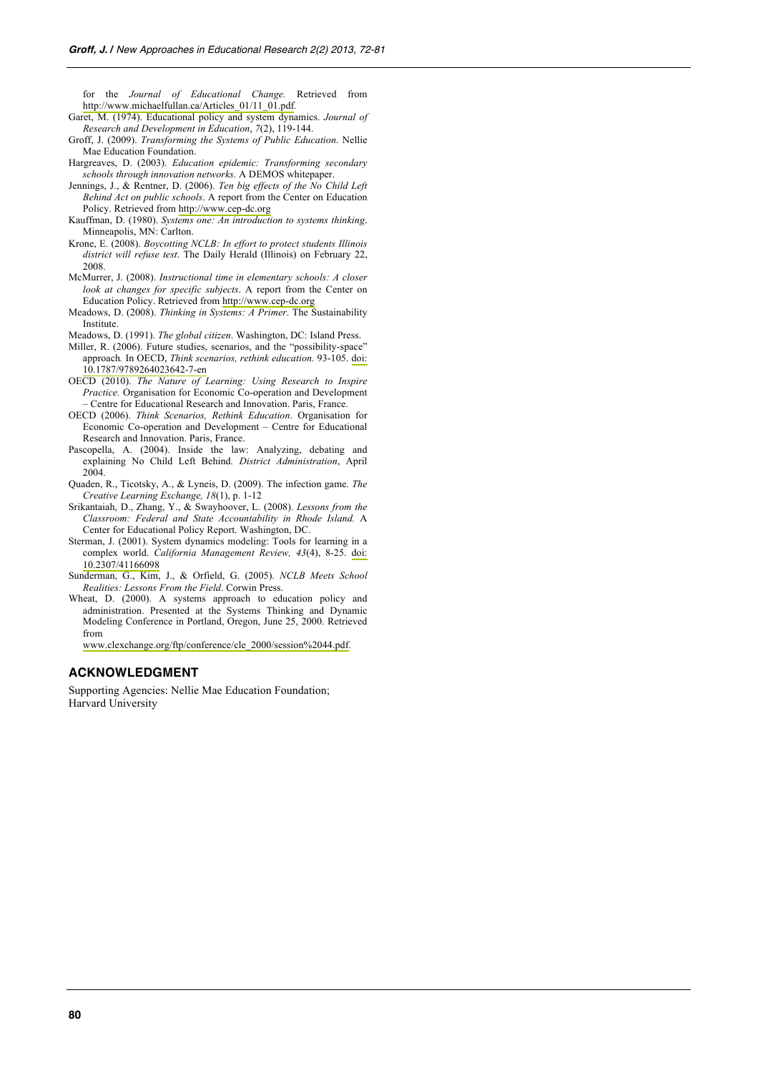for the *Journal of Educational Change.* Retrieved from [http://www.michaelfullan.ca/Articles\\_01/11\\_01.pdf](http://www.michaelfullan.ca/Articles_01/11_01.pdf)*.*

- Garet, M. (1974). Educational policy and system dynamics. *Journal of Research and Development in Education*, *7*(2), 119-144.
- Groff, J. (2009). *Transforming the Systems of Public Education*. Nellie Mae Education Foundation.
- Hargreaves, D. (2003). *Education epidemic: Transforming secondary schools through innovation networks*. A DEMOS whitepaper.
- Jennings, J., & Rentner, D. (2006). *Ten big effects of the No Child Left Behind Act on public schools*. A report from the Center on Education Policy. Retrieved from [http://www.cep-dc.org](http://www.cep-dc.org/)
- Kauffman, D. (1980). *Systems one: An introduction to systems thinking*. Minneapolis, MN: Carlton.
- Krone, E. (2008). *Boycotting NCLB: In effort to protect students Illinois district will refuse test*. The Daily Herald (Illinois) on February 22, 2008.
- McMurrer, J. (2008). *Instructional time in elementary schools: A closer look at changes for specific subjects*. A report from the Center on Education Policy. Retrieved from [http://www.cep-dc.org](http://www.cep-dc.org/)
- Meadows, D. (2008). *Thinking in Systems: A Primer*. The Sustainability Institute.
- Meadows, D. (1991). *The global citizen*. Washington, DC: Island Press.
- Miller, R. (2006). Future studies, scenarios, and the "possibility-space" approach*.* In OECD, *Think scenarios, rethink education.* 93-105. [doi:](http://dx.doi.org/10.1787/9789264023642-7-en) [10.1787/9789264023642-7-en](http://dx.doi.org/10.1787/9789264023642-7-en)
- OECD (2010). *The Nature of Learning: Using Research to Inspire Practice.* Organisation for Economic Co-operation and Development – Centre for Educational Research and Innovation. Paris, France.
- OECD (2006). *Think Scenarios, Rethink Education*. Organisation for Economic Co-operation and Development – Centre for Educational Research and Innovation. Paris, France.
- Pascopella, A. (2004). Inside the law: Analyzing, debating and explaining No Child Left Behind*. District Administration*, April 2004
- Quaden, R., Ticotsky, A., & Lyneis, D. (2009). The infection game. *The Creative Learning Exchange, 18*(1), p. 1-12
- Srikantaiah, D., Zhang, Y., & Swayhoover, L. (2008). *Lessons from the Classroom: Federal and State Accountability in Rhode Island.* A Center for Educational Policy Report. Washington, DC.
- Sterman, J. (2001). System dynamics modeling: Tools for learning in a complex world. *California Management Review, 43*(4), 8-25. [doi:](http://dx.doi.org/10.2307/41166098) [10.2307/41166098](http://dx.doi.org/10.2307/41166098)
- Sunderman, G., Kim, J., & Orfield, G. (2005). *NCLB Meets School Realities: Lessons From the Field*. Corwin Press.
- Wheat, D. (2000). A systems approach to education policy and administration. Presented at the Systems Thinking and Dynamic Modeling Conference in Portland, Oregon, June 25, 2000. Retrieved from

[www.clexchange.org/ftp/conference/cle\\_2000/session%2044.pdf.](http://www.clexchange.org/ftp/conference/cle_2000/session%2044.pdf)

#### **ACKNOWLEDGMENT**

Supporting Agencies: Nellie Mae Education Foundation; Harvard University